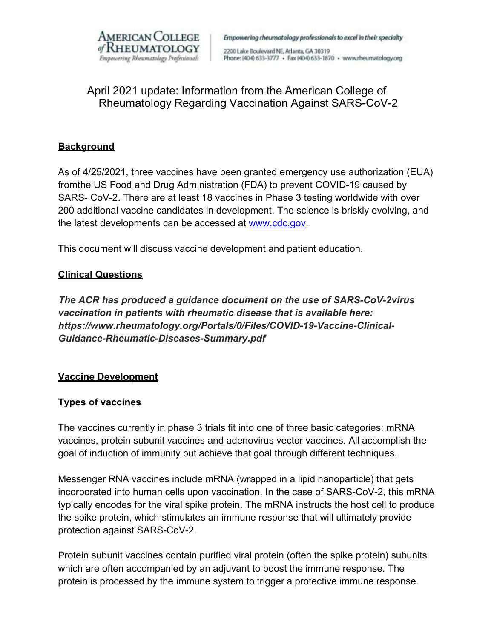

Empowering rheumatology professionals to excel in their specialty

2200 Lake Boulevard NE, Atlanta, GA 30319 Phone: (404) 633-3777 + Fax (404) 633-1870 + www.rheumatology.org

# April 2021 update: Information from the American College of Rheumatology Regarding Vaccination Against SARS-CoV-2

### **Background**

As of 4/25/2021, three vaccines have been granted emergency use authorization (EUA) fromthe US Food and Drug Administration (FDA) to prevent COVID-19 caused by SARS- CoV-2. There are at least 18 vaccines in Phase 3 testing worldwide with over 200 additional vaccine candidates in development. The science is briskly evolving, and the latest developments can be accessed at [www.cdc.gov.](http://www.cdc.gov/)

This document will discuss vaccine development and patient education.

#### **Clinical Questions**

*The ACR has produced a guidance document on the use of SARS-CoV-2virus vaccination in patients with rheumatic disease that is available here: https:/[/www.rheumatology.org/Portals/0/Files/COVID-19-Vaccine-Clinical-](http://www.rheumatology.org/Portals/0/Files/COVID-19-Vaccine-Clinical-)Guidance-Rheumatic-Diseases-Summary.pdf*

#### **Vaccine Development**

# **Types of vaccines**

The vaccines currently in phase 3 trials fit into one of three basic categories: mRNA vaccines, protein subunit vaccines and adenovirus vector vaccines. All accomplish the goal of induction of immunity but achieve that goal through different techniques.

Messenger RNA vaccines include mRNA (wrapped in a lipid nanoparticle) that gets incorporated into human cells upon vaccination. In the case of SARS-CoV-2, this mRNA typically encodes for the viral spike protein. The mRNA instructs the host cell to produce the spike protein, which stimulates an immune response that will ultimately provide protection against SARS-CoV-2.

Protein subunit vaccines contain purified viral protein (often the spike protein) subunits which are often accompanied by an adjuvant to boost the immune response. The protein is processed by the immune system to trigger a protective immune response.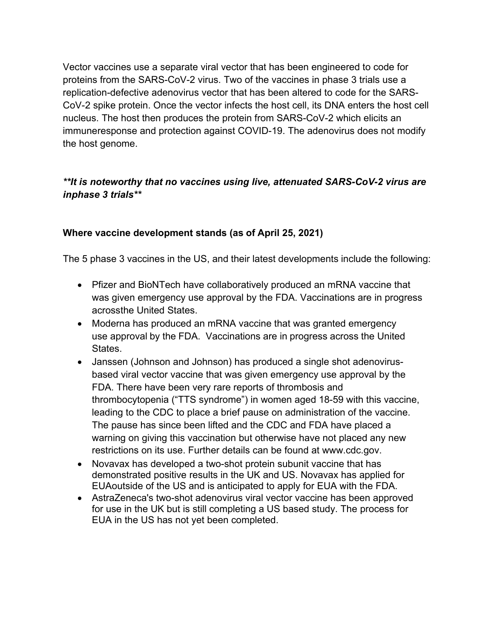Vector vaccines use a separate viral vector that has been engineered to code for proteins from the SARS-CoV-2 virus. Two of the vaccines in phase 3 trials use a replication-defective adenovirus vector that has been altered to code for the SARS-CoV-2 spike protein. Once the vector infects the host cell, its DNA enters the host cell nucleus. The host then produces the protein from SARS-CoV-2 which elicits an immuneresponse and protection against COVID-19. The adenovirus does not modify the host genome.

# *\*\*It is noteworthy that no vaccines using live, attenuated SARS-CoV-2 virus are inphase 3 trials\*\**

## **Where vaccine development stands (as of April 25, 2021)**

The 5 phase 3 vaccines in the US, and their latest developments include the following:

- Pfizer and BioNTech have collaboratively produced an mRNA vaccine that was given emergency use approval by the FDA. Vaccinations are in progress acrossthe United States.
- Moderna has produced an mRNA vaccine that was granted emergency use approval by the FDA. Vaccinations are in progress across the United States.
- Janssen (Johnson and Johnson) has produced a single shot adenovirusbased viral vector vaccine that was given emergency use approval by the FDA. There have been very rare reports of thrombosis and thrombocytopenia ("TTS syndrome") in women aged 18-59 with this vaccine, leading to the CDC to place a brief pause on administration of the vaccine. The pause has since been lifted and the CDC and FDA have placed a warning on giving this vaccination but otherwise have not placed any new restrictions on its use. Further details can be found at www.cdc.gov.
- Novavax has developed a two-shot protein subunit vaccine that has demonstrated positive results in the UK and US. Novavax has applied for EUAoutside of the US and is anticipated to apply for EUA with the FDA.
- AstraZeneca's two-shot adenovirus viral vector vaccine has been approved for use in the UK but is still completing a US based study. The process for EUA in the US has not yet been completed.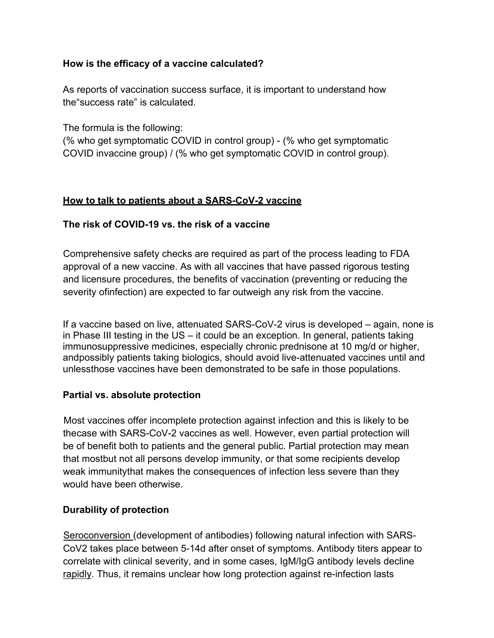### **How is the efficacy of a vaccine calculated?**

As reports of vaccination success surface, it is important to understand how the"success rate" is calculated.

The formula is the following:

(% who get symptomatic COVID in control group) - (% who get symptomatic COVID invaccine group) / (% who get symptomatic COVID in control group).

## **How to talk to patients about a SARS-CoV-2 vaccine**

## **The risk of COVID-19 vs. the risk of a vaccine**

Comprehensive safety checks are required as part of the process leading to FDA approval of a new vaccine. As with all vaccines that have passed rigorous testing and licensure procedures, the benefits of vaccination (preventing or reducing the severity ofinfection) are expected to far outweigh any risk from the vaccine.

If a vaccine based on live, attenuated SARS-CoV-2 virus is developed – again, none is in Phase III testing in the US – it could be an exception. In general, patients taking immunosuppressive medicines, especially chronic prednisone at 10 mg/d or higher, andpossibly patients taking biologics, should avoid live-attenuated vaccines until and unlessthose vaccines have been demonstrated to be safe in those populations.

#### **Partial vs. absolute protection**

Most vaccines offer incomplete protection against infection and this is likely to be thecase with SARS-CoV-2 vaccines as well. However, even partial protection will be of benefit both to patients and the general public. Partial protection may mean that mostbut not all persons develop immunity, or that some recipients develop weak immunitythat makes the consequences of infection less severe than they would have been otherwise.

#### **Durability of protection**

Seroconversion (development of antibodies) following natural infection with SARS-CoV2 takes place between 5-14d after onset of symptoms. Antibody titers appear to correlate with clinical severity, and in some cases, IgM/IgG antibody levels decline rapidly. Thus, it remains unclear how long protection against re-infection lasts